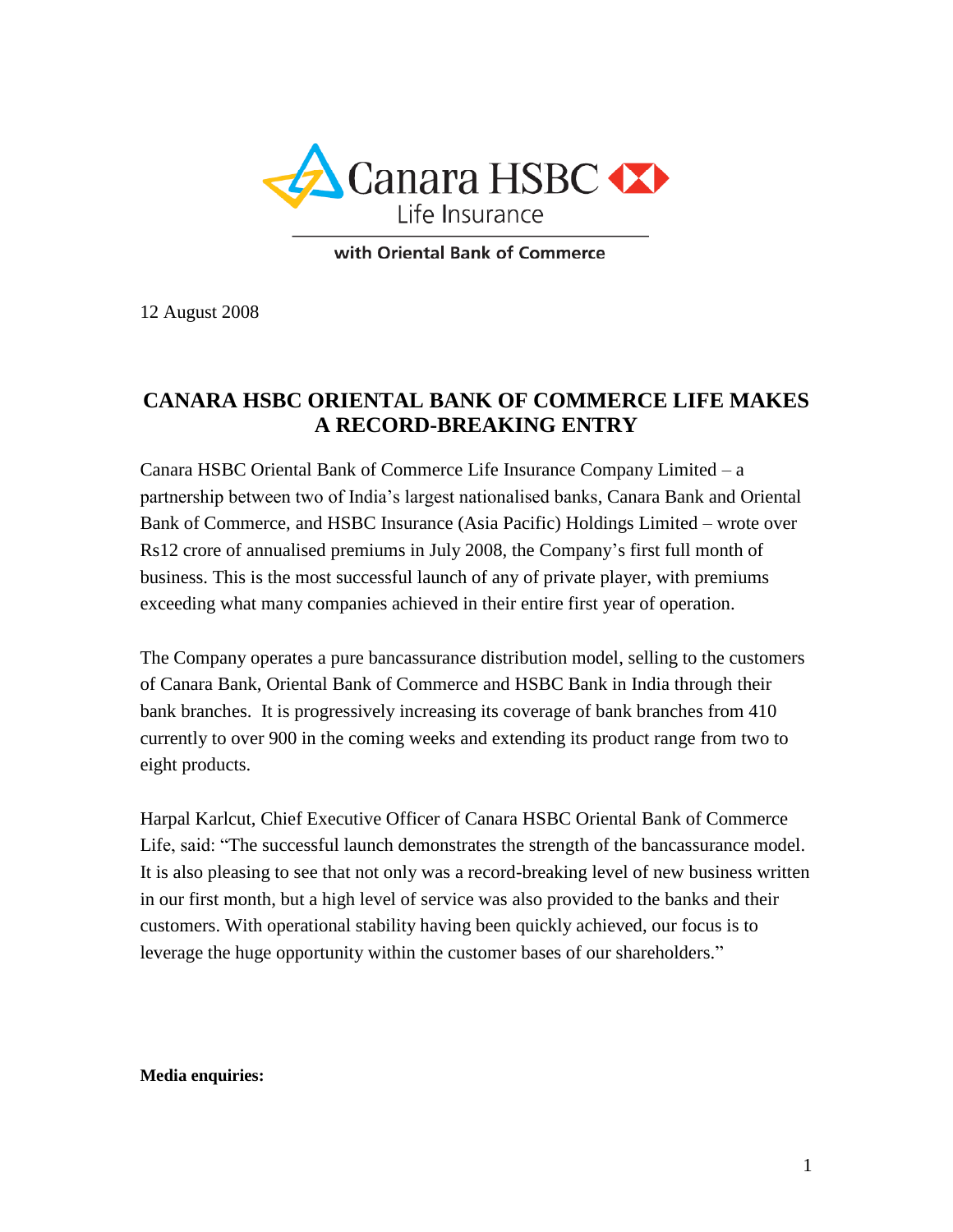

with Oriental Bank of Commerce

12 August 2008

# **CANARA HSBC ORIENTAL BANK OF COMMERCE LIFE MAKES A RECORD-BREAKING ENTRY**

Canara HSBC Oriental Bank of Commerce Life Insurance Company Limited – a partnership between two of India's largest nationalised banks, Canara Bank and Oriental Bank of Commerce, and HSBC Insurance (Asia Pacific) Holdings Limited – wrote over Rs12 crore of annualised premiums in July 2008, the Company's first full month of business. This is the most successful launch of any of private player, with premiums exceeding what many companies achieved in their entire first year of operation.

The Company operates a pure bancassurance distribution model, selling to the customers of Canara Bank, Oriental Bank of Commerce and HSBC Bank in India through their bank branches. It is progressively increasing its coverage of bank branches from 410 currently to over 900 in the coming weeks and extending its product range from two to eight products.

Harpal Karlcut, Chief Executive Officer of Canara HSBC Oriental Bank of Commerce Life, said: "The successful launch demonstrates the strength of the bancassurance model. It is also pleasing to see that not only was a record-breaking level of new business written in our first month, but a high level of service was also provided to the banks and their customers. With operational stability having been quickly achieved, our focus is to leverage the huge opportunity within the customer bases of our shareholders."

### **Media enquiries:**